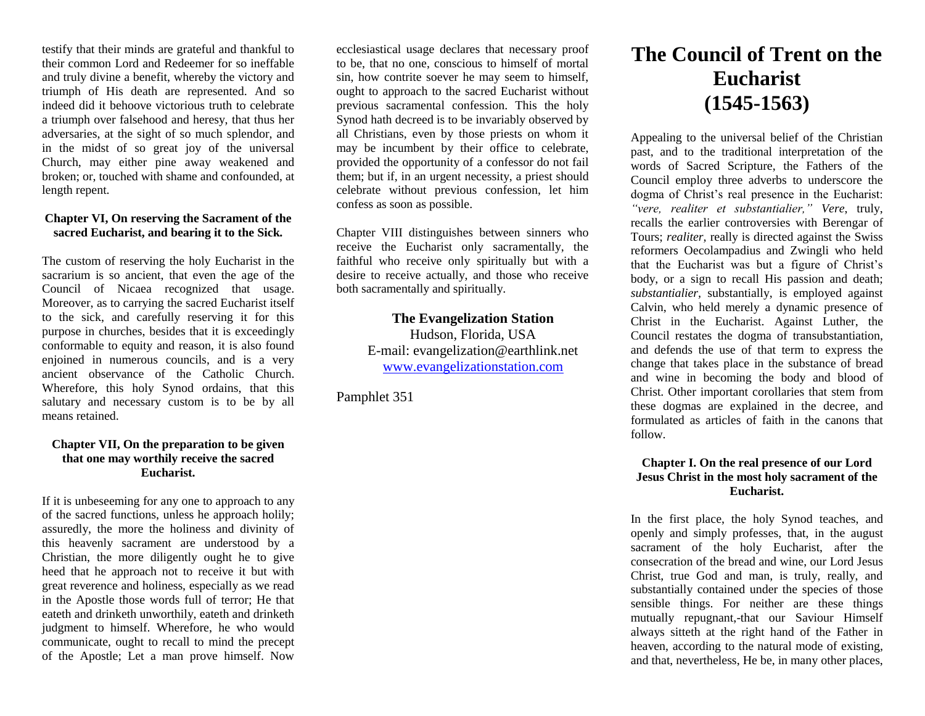testify that their minds are grateful and thankful to their common Lord and Redeemer for so ineffable and truly divine a benefit, whereby the victory and triumph of His death are represented. And so indeed did it behoove victorious truth to celebrate a triumph over falsehood and heresy, that thus her adversaries, at the sight of so much splendor, and in the midst of so great joy of the universal Church, may either pine away weakened and broken; or, touched with shame and confounded, at length repent.

### **Chapter VI, On reserving the Sacrament of the sacred Eucharist, and bearing it to the Sick.**

The custom of reserving the holy Eucharist in the sacrarium is so ancient, that even the age of the Council of Nicaea recognized that usage. Moreover, as to carrying the sacred Eucharist itself to the sick, and carefully reserving it for this purpose in churches, besides that it is exceedingly conformable to equity and reason, it is also found enjoined in numerous councils, and is a very ancient observance of the Catholic Church. Wherefore, this holy Synod ordains, that this salutary and necessary custom is to be by all means retained.

#### **Chapter VII, On the preparation to be given that one may worthily receive the sacred Eucharist.**

If it is unbeseeming for any one to approach to any of the sacred functions, unless he approach holily; assuredly, the more the holiness and divinity of this heavenly sacrament are understood by a Christian, the more diligently ought he to give heed that he approach not to receive it but with great reverence and holiness, especially as we read in the Apostle those words full of terror; He that eateth and drinketh unworthily, eateth and drinketh judgment to himself. Wherefore, he who would communicate, ought to recall to mind the precept of the Apostle; Let a man prove himself. Now

ecclesiastical usage declares that necessary proof to be, that no one, conscious to himself of mortal sin, how contrite soever he may seem to himself, ought to approach to the sacred Eucharist without previous sacramental confession. This the holy Synod hath decreed is to be invariably observed by all Christians, even by those priests on whom it may be incumbent by their office to celebrate, provided the opportunity of a confessor do not fail them; but if, in an urgent necessity, a priest should celebrate without previous confession, let him confess as soon as possible.

Chapter VIII distinguishes between sinners who receive the Eucharist only sacramentally, the faithful who receive only spiritually but with a desire to receive actually, and those who receive both sacramentally and spiritually.

# **The Evangelization Station**

Hudson, Florida, USA E-mail: evangelization@earthlink.net [www.evangelizationstation.com](http://www.pjpiisoe.org/)

Pamphlet 351

# **The Council of Trent on the Eucharist (1545-1563)**

Appealing to the universal belief of the Christian past, and to the traditional interpretation of the words of Sacred Scripture, the Fathers of the Council employ three adverbs to underscore the dogma of Christ's real presence in the Eucharist: *"vere, realiter et substantialier," Vere*, truly, recalls the earlier controversies with Berengar of Tours; *realiter,* really is directed against the Swiss reformers Oecolampadius and Zwingli who held that the Eucharist was but a figure of Christ's body, or a sign to recall His passion and death; *substantialier,* substantially, is employed against Calvin, who held merely a dynamic presence of Christ in the Eucharist. Against Luther, the Council restates the dogma of transubstantiation, and defends the use of that term to express the change that takes place in the substance of bread and wine in becoming the body and blood of Christ. Other important corollaries that stem from these dogmas are explained in the decree, and formulated as articles of faith in the canons that follow.

# **Chapter I. On the real presence of our Lord Jesus Christ in the most holy sacrament of the Eucharist.**

In the first place, the holy Synod teaches, and openly and simply professes, that, in the august sacrament of the holy Eucharist, after the consecration of the bread and wine, our Lord Jesus Christ, true God and man, is truly, really, and substantially contained under the species of those sensible things. For neither are these things mutually repugnant,-that our Saviour Himself always sitteth at the right hand of the Father in heaven, according to the natural mode of existing, and that, nevertheless, He be, in many other places,